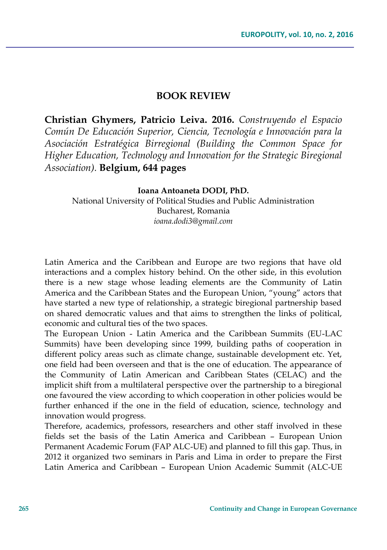## **BOOK REVIEW**

**Christian Ghymers, Patricio Leiva. 2016.** *Construyendo el Espacio Común De Educación Superior, Ciencia, Tecnología e Innovación para la Asociación Estratégica Birregional (Building the Common Space for Higher Education, Technology and Innovation for the Strategic Biregional Association).* **Belgium, 644 pages**

## **Ioana Antoaneta DODI, PhD.**

National University of Political Studies and Public Administration Bucharest, Romania *ioana.dodi3@gmail.com*

Latin America and the Caribbean and Europe are two regions that have old interactions and a complex history behind. On the other side, in this evolution there is a new stage whose leading elements are the Community of Latin America and the Caribbean States and the European Union, "young" actors that have started a new type of relationship, a strategic biregional partnership based on shared democratic values and that aims to strengthen the links of political, economic and cultural ties of the two spaces.

The European Union - Latin America and the Caribbean Summits (EU-LAC Summits) have been developing since 1999, building paths of cooperation in different policy areas such as climate change, sustainable development etc. Yet, one field had been overseen and that is the one of education. The appearance of the Community of Latin American and Caribbean States (CELAC) and the implicit shift from a multilateral perspective over the partnership to a biregional one favoured the view according to which cooperation in other policies would be further enhanced if the one in the field of education, science, technology and innovation would progress.

Therefore, academics, professors, researchers and other staff involved in these fields set the basis of the Latin America and Caribbean – European Union Permanent Academic Forum (FAP ALC-UE) and planned to fill this gap. Thus, in 2012 it organized two seminars in Paris and Lima in order to prepare the First Latin America and Caribbean – European Union Academic Summit (ALC-UE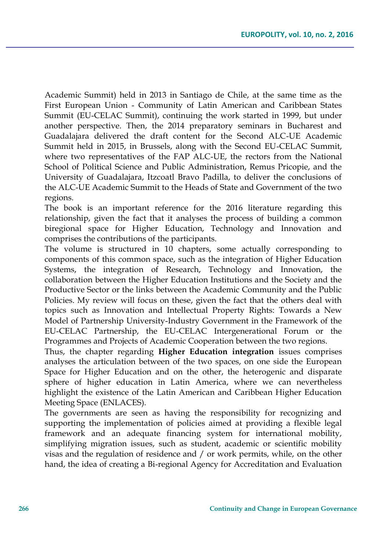Academic Summit) held in 2013 in Santiago de Chile, at the same time as the First European Union - Community of Latin American and Caribbean States Summit (EU-CELAC Summit), continuing the work started in 1999, but under another perspective. Then, the 2014 preparatory seminars in Bucharest and Guadalajara delivered the draft content for the Second ALC-UE Academic Summit held in 2015, in Brussels, along with the Second EU-CELAC Summit, where two representatives of the FAP ALC-UE, the rectors from the National School of Political Science and Public Administration, Remus Pricopie, and the University of Guadalajara, Itzcoatl Bravo Padilla, to deliver the conclusions of the ALC-UE Academic Summit to the Heads of State and Government of the two regions.

The book is an important reference for the 2016 literature regarding this relationship, given the fact that it analyses the process of building a common biregional space for Higher Education, Technology and Innovation and comprises the contributions of the participants.

The volume is structured in 10 chapters, some actually corresponding to components of this common space, such as the integration of Higher Education Systems, the integration of Research, Technology and Innovation, the collaboration between the Higher Education Institutions and the Society and the Productive Sector or the links between the Academic Community and the Public Policies. My review will focus on these, given the fact that the others deal with topics such as Innovation and Intellectual Property Rights: Towards a New Model of Partnership University-Industry Government in the Framework of the EU-CELAC Partnership, the EU-CELAC Intergenerational Forum or the Programmes and Projects of Academic Cooperation between the two regions.

Thus, the chapter regarding **Higher Education integration** issues comprises analyses the articulation between of the two spaces, on one side the European Space for Higher Education and on the other, the heterogenic and disparate sphere of higher education in Latin America, where we can nevertheless highlight the existence of the Latin American and Caribbean Higher Education Meeting Space (ENLACES).

The governments are seen as having the responsibility for recognizing and supporting the implementation of policies aimed at providing a flexible legal framework and an adequate financing system for international mobility, simplifying migration issues, such as student, academic or scientific mobility visas and the regulation of residence and / or work permits, while, on the other hand, the idea of creating a Bi-regional Agency for Accreditation and Evaluation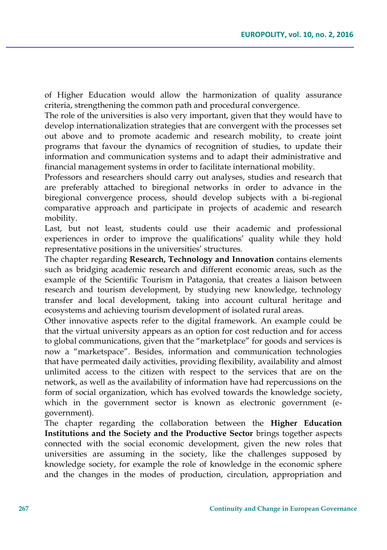of Higher Education would allow the harmonization of quality assurance criteria, strengthening the common path and procedural convergence.

The role of the universities is also very important, given that they would have to develop internationalization strategies that are convergent with the processes set out above and to promote academic and research mobility, to create joint programs that favour the dynamics of recognition of studies, to update their information and communication systems and to adapt their administrative and financial management systems in order to facilitate international mobility.

Professors and researchers should carry out analyses, studies and research that are preferably attached to biregional networks in order to advance in the biregional convergence process, should develop subjects with a bi-regional comparative approach and participate in projects of academic and research mobility.

Last, but not least, students could use their academic and professional experiences in order to improve the qualifications' quality while they hold representative positions in the universities' structures.

The chapter regarding **Research, Technology and Innovation** contains elements such as bridging academic research and different economic areas, such as the example of the Scientific Tourism in Patagonia, that creates a liaison between research and tourism development, by studying new knowledge, technology transfer and local development, taking into account cultural heritage and ecosystems and achieving tourism development of isolated rural areas.

Other innovative aspects refer to the digital framework. An example could be that the virtual university appears as an option for cost reduction and for access to global communications, given that the "marketplace" for goods and services is now a "marketspace". Besides, information and communication technologies that have permeated daily activities, providing flexibility, availability and almost unlimited access to the citizen with respect to the services that are on the network, as well as the availability of information have had repercussions on the form of social organization, which has evolved towards the knowledge society, which in the government sector is known as electronic government (egovernment).

The chapter regarding the collaboration between the **Higher Education Institutions and the Society and the Productive Sector** brings together aspects connected with the social economic development, given the new roles that universities are assuming in the society, like the challenges supposed by knowledge society, for example the role of knowledge in the economic sphere and the changes in the modes of production, circulation, appropriation and